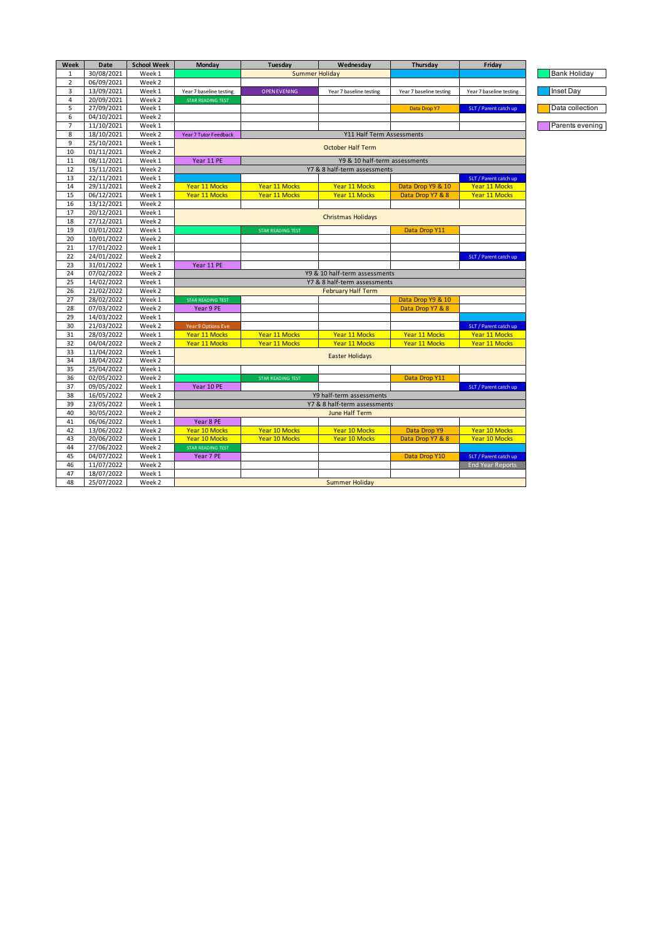| Week           | Date       | <b>School Week</b> | Monday                        | Tuesday                      | Wednesday                     | Thursday                | Friday                  |  |  |
|----------------|------------|--------------------|-------------------------------|------------------------------|-------------------------------|-------------------------|-------------------------|--|--|
| 1              | 30/08/2021 | Week 1             |                               | Summer Holiday               |                               |                         |                         |  |  |
| $\overline{2}$ | 06/09/2021 | Week <sub>2</sub>  |                               |                              |                               |                         |                         |  |  |
| 3              | 13/09/2021 | Week 1             | Year 7 baseline testing       | <b>OPEN EVENING</b>          | Year 7 baseline testing       | Year 7 baseline testing | Year 7 baseline testing |  |  |
| 4              | 20/09/2021 | Week 2             | STAR READING TEST             |                              |                               |                         |                         |  |  |
| 5              | 27/09/2021 | Week 1             |                               |                              |                               | Data Drop Y7            | SLT / Parent catch up   |  |  |
| 6              | 04/10/2021 | Week <sub>2</sub>  |                               |                              |                               |                         |                         |  |  |
| $\overline{7}$ | 11/10/2021 | Week 1             |                               |                              |                               |                         |                         |  |  |
| 8              | 18/10/2021 | Week <sub>2</sub>  | Year 7 Tutor Feedback         |                              | Y11 Half Term Assessments     |                         |                         |  |  |
| 9              | 25/10/2021 | Week 1             |                               |                              |                               |                         |                         |  |  |
| 10             | 01/11/2021 | Week <sub>2</sub>  | <b>October Half Term</b>      |                              |                               |                         |                         |  |  |
| 11             | 08/11/2021 | Week 1             | Year 11 PE                    |                              | Y9 & 10 half-term assessments |                         |                         |  |  |
| 12             | 15/11/2021 | Week <sub>2</sub>  |                               | Y7 & 8 half-term assessments |                               |                         |                         |  |  |
| 13             | 22/11/2021 | Week 1             |                               |                              |                               |                         | SLT / Parent catch up   |  |  |
| 14             | 29/11/2021 | Week 2             | Year 11 Mocks                 | <b>Year 11 Mocks</b>         | Year 11 Mocks                 | Data Drop Y9 & 10       | Year 11 Mocks           |  |  |
| 15             | 06/12/2021 | Week 1             | Year 11 Mocks                 | <b>Year 11 Mocks</b>         | Year 11 Mocks                 | Data Drop Y7 & 8        | Year 11 Mocks           |  |  |
| 16             | 13/12/2021 | Week <sub>2</sub>  |                               |                              |                               |                         |                         |  |  |
| 17             | 20/12/2021 | Week 1             |                               |                              |                               |                         |                         |  |  |
| 18             | 27/12/2021 | Week <sub>2</sub>  | <b>Christmas Holidays</b>     |                              |                               |                         |                         |  |  |
| 19             | 03/01/2022 | Week 1             |                               | <b>STAR READING TEST</b>     |                               | Data Drop Y11           |                         |  |  |
| 20             | 10/01/2022 | Week 2             |                               |                              |                               |                         |                         |  |  |
| 21             | 17/01/2022 | Week 1             |                               |                              |                               |                         |                         |  |  |
| 22             | 24/01/2022 | Week 2             |                               |                              |                               |                         | SLT / Parent catch up   |  |  |
| 23             | 31/01/2022 | Week 1             | Year 11 PE                    |                              |                               |                         |                         |  |  |
| 24             | 07/02/2022 | Week 2             | Y9 & 10 half-term assessments |                              |                               |                         |                         |  |  |
| 25             | 14/02/2022 | Week 1             | Y7 & 8 half-term assessments  |                              |                               |                         |                         |  |  |
| 26             | 21/02/2022 | Week 2             | <b>February Half Term</b>     |                              |                               |                         |                         |  |  |
| 27             | 28/02/2022 | Week 1             | <b>STAR READING TEST</b>      |                              |                               | Data Drop Y9 & 10       |                         |  |  |
| 28             | 07/03/2022 | Week 2             | Year 9 PE                     |                              |                               | Data Drop Y7 & 8        |                         |  |  |
| 29             | 14/03/2022 | Week 1             |                               |                              |                               |                         |                         |  |  |
| 30             | 21/03/2022 | Week <sub>2</sub>  | Year 9 Options Eve            |                              |                               |                         | SLT / Parent catch up   |  |  |
| 31             | 28/03/2022 | Week 1             | <b>Year 11 Mocks</b>          | <b>Year 11 Mocks</b>         | <b>Year 11 Mocks</b>          | <b>Year 11 Mocks</b>    | Year 11 Mocks           |  |  |
| 32             | 04/04/2022 | Week <sub>2</sub>  | <b>Year 11 Mocks</b>          | <b>Year 11 Mocks</b>         | Year 11 Mocks                 | <b>Year 11 Mocks</b>    | <b>Year 11 Mocks</b>    |  |  |
| 33             | 11/04/2022 | Week 1             |                               |                              |                               |                         |                         |  |  |
| 34             | 18/04/2022 | Week <sub>2</sub>  | <b>Easter Holidays</b>        |                              |                               |                         |                         |  |  |
| 35             | 25/04/2022 | Week 1             |                               |                              |                               |                         |                         |  |  |
| 36             | 02/05/2022 | Week 2             |                               | <b>STAR READING TEST</b>     |                               | Data Drop Y11           |                         |  |  |
| 37             | 09/05/2022 | Week 1             | Year 10 PE                    |                              |                               |                         | SLT / Parent catch up   |  |  |
| 38             | 16/05/2022 | Week <sub>2</sub>  | Y9 half-term assessments      |                              |                               |                         |                         |  |  |
| 39             | 23/05/2022 | Week 1             | Y7 & 8 half-term assessments  |                              |                               |                         |                         |  |  |
| 40             | 30/05/2022 | Week <sub>2</sub>  | June Half Term                |                              |                               |                         |                         |  |  |
| 41             | 06/06/2022 | Week 1             | Year 8 PE                     |                              |                               |                         |                         |  |  |
| 42             | 13/06/2022 | Week 2             | Year 10 Mocks                 | Year 10 Mocks                | Year 10 Mocks                 | Data Drop Y9            | Year 10 Mocks           |  |  |
| 43             | 20/06/2022 | Week 1             | Year 10 Mocks                 | Year 10 Mocks                | Year 10 Mocks                 | Data Drop Y7 & 8        | Year 10 Mocks           |  |  |
| 44             | 27/06/2022 | Week <sub>2</sub>  | <b>STAR READING TEST</b>      |                              |                               |                         |                         |  |  |
| 45             | 04/07/2022 | Week 1             | Year 7 PE                     |                              |                               | Data Drop Y10           | SLT / Parent catch up   |  |  |
| 46             | 11/07/2022 | Week <sub>2</sub>  |                               |                              |                               |                         | <b>End Year Reports</b> |  |  |
| 47             | 18/07/2022 | Week 1             |                               |                              |                               |                         |                         |  |  |
| 48             | 25/07/2022 | Week 2             |                               |                              | <b>Summer Holiday</b>         |                         |                         |  |  |